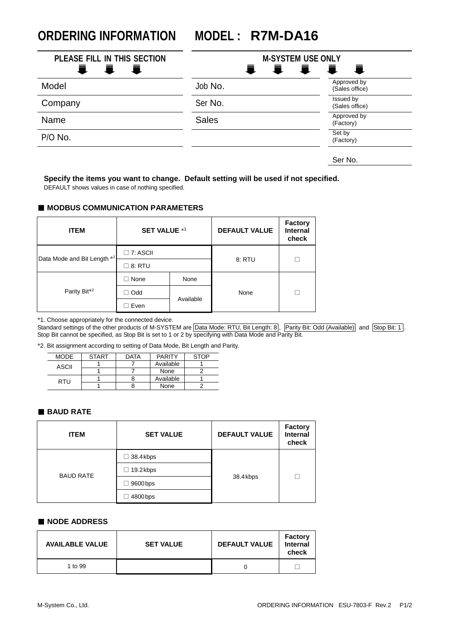**ORDERING INFORMATION MODEL : R7M-DA16**

| PLEASE FILL IN THIS SECTION<br>量<br><b>L</b><br>Ħ., | <b>M-SYSTEM USE ONLY</b><br>III<br>$\ddot{\bullet}$ |                               |
|-----------------------------------------------------|-----------------------------------------------------|-------------------------------|
| Model                                               | Job No.                                             | Approved by<br>(Sales office) |
| Company                                             | Ser No.                                             | Issued by<br>(Sales office)   |
| Name                                                | <b>Sales</b>                                        | Approved by<br>(Factory)      |
| P/O No.                                             |                                                     | Set by<br>(Factory)           |
|                                                     |                                                     | Ser No.                       |

## **Specify the items you want to change. Default setting will be used if not specified.**

DEFAULT shows values in case of nothing specified.

#### ■ **MODBUS COMMUNICATION PARAMETERS**

| <b>ITEM</b>                 | <b>SET VALUE *1</b> |           | <b>DEFAULT VALUE</b> | <b>Factory</b><br><b>Internal</b><br>check |
|-----------------------------|---------------------|-----------|----------------------|--------------------------------------------|
| Data Mode and Bit Length *2 | $\square$ 7: ASCII  |           | 8: RTU               |                                            |
|                             | 8: RTU              |           |                      |                                            |
| Parity Bit <sup>*2</sup>    | None                | None      |                      |                                            |
|                             | Odd                 | Available | None                 |                                            |
|                             | Even                |           |                      |                                            |

\*1. Choose appropriately for the connected device.

Standard settings of the other products of M-SYSTEM are Data Mode: RTU, Bit Length: 8, Parity Bit: Odd (Available) and Stop Bit: 1. Stop Bit cannot be specified, as Stop Bit is set to 1 or 2 by specifying with Data Mode and Parity Bit.

\*2. Bit assignment according to setting of Data Mode, Bit Length and Parity.

| MODE  | <b>START</b> | <b>DATA</b> | <b>PARITY</b> | <b>STOP</b> |
|-------|--------------|-------------|---------------|-------------|
| ASCII |              |             | Available     |             |
|       |              |             | None          |             |
| RTU   |              |             | Available     |             |
|       |              |             | None          |             |

## ■ **BAUD RATE**

| <b>ITEM</b>      | <b>SET VALUE</b> | <b>DEFAULT VALUE</b> | Factory<br><b>Internal</b><br>check |
|------------------|------------------|----------------------|-------------------------------------|
| <b>BAUD RATE</b> | $\Box$ 38.4 kbps | 38.4 kbps            |                                     |
|                  | $\Box$ 19.2 kbps |                      |                                     |
|                  | $\Box$ 9600 bps  |                      |                                     |
|                  | $\Box$ 4800 bps  |                      |                                     |

#### ■ **NODE ADDRESS**

| <b>AVAILABLE VALUE</b> | <b>SET VALUE</b> | <b>DEFAULT VALUE</b> | <b>Factory</b><br>Internal<br>check |
|------------------------|------------------|----------------------|-------------------------------------|
| 1 to 99                |                  |                      |                                     |